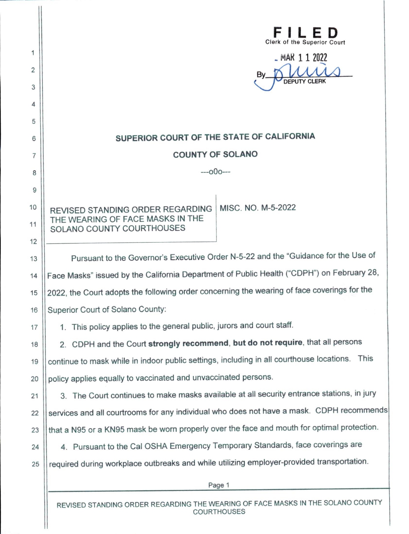| 1<br>2<br>3<br>4<br>5 | <b>Clerk of the Superior Court</b><br>MAR 1 1 2022<br>B٧<br><b>DEPUTY CLERK</b>               |
|-----------------------|-----------------------------------------------------------------------------------------------|
| 6                     | SUPERIOR COURT OF THE STATE OF CALIFORNIA                                                     |
| 7                     | <b>COUNTY OF SOLANO</b>                                                                       |
| 8                     | $-000$ ---                                                                                    |
| 9                     |                                                                                               |
| 10                    | MISC. NO. M-5-2022<br>REVISED STANDING ORDER REGARDING                                        |
| 11                    | THE WEARING OF FACE MASKS IN THE<br>SOLANO COUNTY COURTHOUSES                                 |
| 12                    |                                                                                               |
| 13                    | Pursuant to the Governor's Executive Order N-5-22 and the "Guidance for the Use of            |
| 14                    | Face Masks" issued by the California Department of Public Health ("CDPH") on February 28,     |
| 15                    | 2022, the Court adopts the following order concerning the wearing of face coverings for the   |
| 16                    | Superior Court of Solano County:                                                              |
| 17                    | 1. This policy applies to the general public, jurors and court staff.                         |
| 18                    | 2. CDPH and the Court strongly recommend, but do not require, that all persons                |
| 19                    | continue to mask while in indoor public settings, including in all courthouse locations. This |
| 20                    | policy applies equally to vaccinated and unvaccinated persons.                                |
| 21                    | 3. The Court continues to make masks available at all security entrance stations, in jury     |
| 22                    | services and all courtrooms for any individual who does not have a mask. CDPH recommends      |
| 23                    | that a N95 or a KN95 mask be worn properly over the face and mouth for optimal protection.    |
| 24                    | 4. Pursuant to the Cal OSHA Emergency Temporary Standards, face coverings are                 |
| 25                    | required during workplace outbreaks and while utilizing employer-provided transportation.     |
|                       | Page 1                                                                                        |
|                       |                                                                                               |

REVISED STANDING ORDER REGARDING THE WEARING OF FACE MASKS IN THE SOLANO COUNTY COURTHOUSES